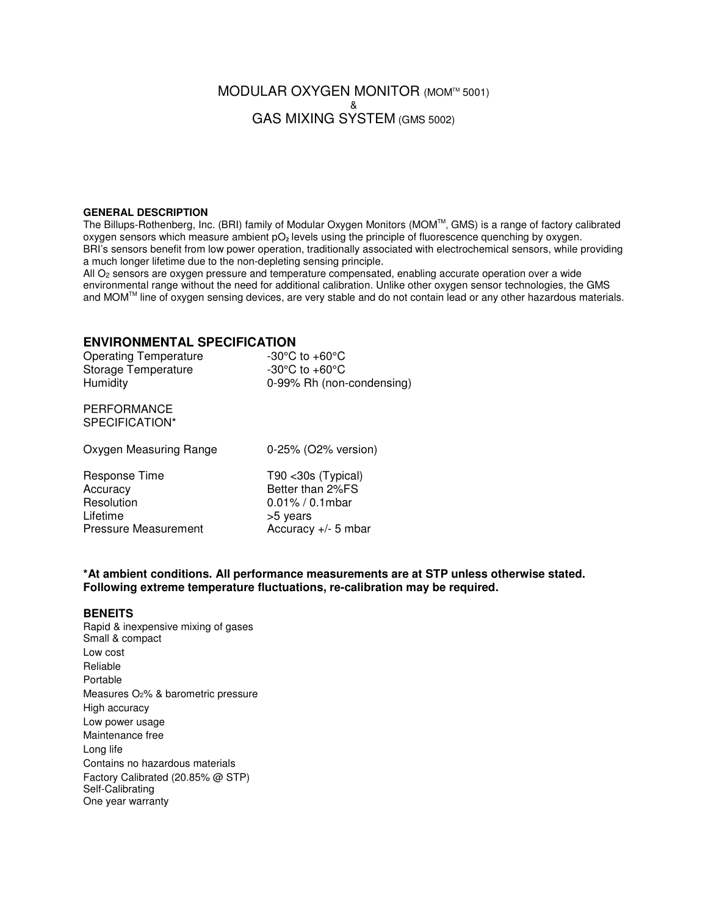# MODULAR OXYGEN MONITOR (MOM™ 5001) & GAS MIXING SYSTEM (GMS 5002)

#### **GENERAL DESCRIPTION**

The Billups-Rothenberg, Inc. (BRI) family of Modular Oxygen Monitors (MOM™, GMS) is a range of factory calibrated oxygen sensors which measure ambient pO<sub>2</sub> levels using the principle of fluorescence quenching by oxygen. BRI's sensors benefit from low power operation, traditionally associated with electrochemical sensors, while providing a much longer lifetime due to the non-depleting sensing principle.

All O<sub>2</sub> sensors are oxygen pressure and temperature compensated, enabling accurate operation over a wide environmental range without the need for additional calibration. Unlike other oxygen sensor technologies, the GMS and MOMTM line of oxygen sensing devices, are very stable and do not contain lead or any other hazardous materials.

## **ENVIRONMENTAL SPECIFICATION**

| <b>Operating Temperature</b><br>Storage Temperature<br>Humidity | -30 $\mathrm{^{\circ}C}$ to +60 $\mathrm{^{\circ}C}$<br>-30 $\mathrm{^{\circ}C}$ to +60 $\mathrm{^{\circ}C}$<br>0-99% Rh (non-condensing) |
|-----------------------------------------------------------------|-------------------------------------------------------------------------------------------------------------------------------------------|
| PERFORMANCE<br>SPECIFICATION*                                   |                                                                                                                                           |
| Oxygen Measuring Range                                          | 0-25% (O2% version)                                                                                                                       |

| Response Time        | $T90$ < 30s (Typical) |
|----------------------|-----------------------|
| Accuracy             | Better than 2%FS      |
| Resolution           | $0.01\% / 0.1$ mbar   |
| Lifetime             | >5 years              |
| Pressure Measurement | Accuracy $+/-$ 5 mbar |

#### **\*At ambient conditions. All performance measurements are at STP unless otherwise stated. Following extreme temperature fluctuations, re-calibration may be required.**

### **BENEITS**

Rapid & inexpensive mixing of gases Small & compact Low cost Reliable Portable Measures O2% & barometric pressure High accuracy Low power usage Maintenance free Long life Contains no hazardous materials Factory Calibrated (20.85% @ STP) Self-Calibrating One year warranty